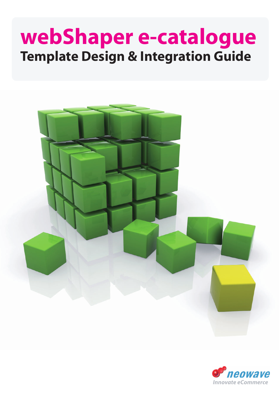# **webShaper e-catalogue Template Design & Integration Guide**



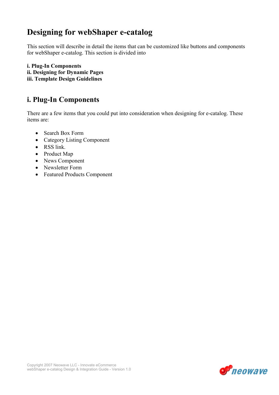# Designing for webShaper e-catalog

This section will describe in detail the items that can be customized like buttons and components for webShaper e-catalog. This section is divided into

i. Plug-In Components ii. Designing for Dynamic Pages iii. Template Design Guidelines

# i. Plug-In Components

There are a few items that you could put into consideration when designing for e-catalog. These items are:

- Search Box Form
- Category Listing Component
- RSS link.
- Product Map
- News Component
- Newsletter Form
- Featured Products Component

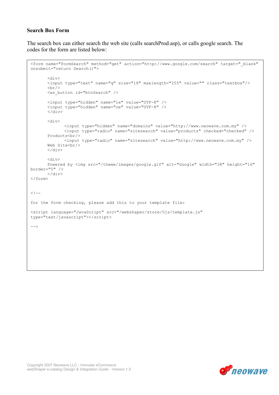# Search Box Form

The search box can either search the web site (calls searchProd.asp), or calls google search. The codes for the form are listed below:

```
<form name="FormSearch" method="get" action="http://www.google.com/search" target="_blank" 
onsubmit="return Search()"> 
        <div> 
        <input type="text" name="q" size="18" maxlength="255" value="" class="textbox"/> 
       \braket{br/} <ws_button id="btnSearch" /> 
        <input type="hidden" name="ie" value="UTF-8" /> 
        <input type="hidden" name="oe" value="UTF-8" /> 
       \langle /div>
        <div> 
               <input type="hidden" name="domains" value="http://www.neowave.com.my" /> 
               <input type="radio" name="sitesearch" value="products" checked="checked" /> 
       Products<br/> />
               <input type="radio" name="sitesearch" value="http://www.neowave.com.my" /> 
       Web Site<br/>br/>
       \langle/div\rangle <div> 
       Powered by <img src="/theme/images/google.gif" alt="Google" width="38" height="16"
border="0" /> 
       \langlediv>
</form> 
\lt! --
for the form checking, please add this to your template file: 
<script language="JavaScript" src="/webshaper/store/0js/template.js" 
type="text/javascript"></script> 
-->
```


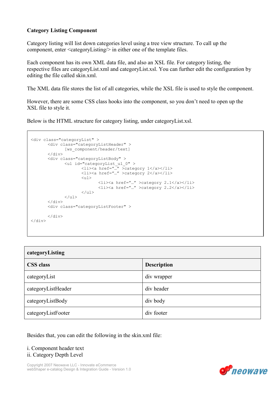# Category Listing Component

Category listing will list down categories level using a tree view structure. To call up the component, enter <categoryListing/> in either one of the template files.

Each component has its own XML data file, and also an XSL file. For category listing, the respective files are categoryList.xml and categoryList.xsl. You can further edit the configuration by editing the file called skin.xml.

The XML data file stores the list of all categories, while the XSL file is used to style the component.

However, there are some CSS class hooks into the component, so you don't need to open up the XSL file to style it.

Below is the HTML structure for category listing, under categoryList.xsl.

```
<div class="categoryList" > 
        <div class="categoryListHeader" > 
              [ws component/header/text]
       \langle div>
        <div class="categoryListBody" > 
 <ul id="categoryList_ul_0" > 
 <li><a href="…" >category 1</a></li> 
                      <li><a href="…" >category 2</a></li> 
                     \langleul>
                              <li><a href="…" >category 2.1</a></li> 
                              <li><a href="…" >category 2.2</a></li> 
                     \langle/ul\rangle\langle/ul>\langle/div\rangle <div class="categoryListFooter" > 
       \langle/div\rangle</div>
```

| categoryListing    |                    |  |
|--------------------|--------------------|--|
| <b>CSS</b> class   | <b>Description</b> |  |
| categoryList       | div wrapper        |  |
| categoryListHeader | div header         |  |
| categoryListBody   | div body           |  |
| categoryListFooter | div footer         |  |

Besides that, you can edit the following in the skin.xml file:

## i. Component header text ii. Category Depth Level

Copyright 2007 Neowave LLC - Innovate eCommerce webShaper e-catalog Design & Integration Guide - Version 1.0

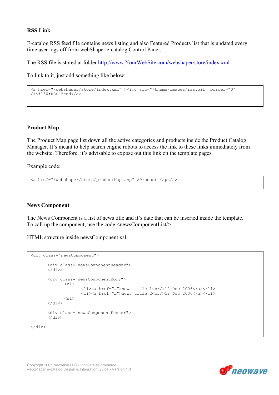# RSS Link

E-catalog RSS feed file contains news listing and also Featured Products list that is updated every time user logs off from webShaper e-catalog Control Panel.

The RSS file is stored at folder http://www.YourWebSite.com/webshaper/store/index.xml

To link to it, just add something like below:

```
<a href="/webshaper/store/index.xml" ><img src="/theme/images/rss.gif" border="0" 
/>&#160;RSS Feed</a>
```
## Product Map

The Product Map page list down all the active categories and products inside the Product Catalog Manager. It's meant to help search engine robots to access the link to these links immediately from the website. Therefore, it's advisable to expose out this link on the template pages.

Example code:

```
<a href="/webshaper/store/productMap.asp" >Product Map</a>
```
#### News Component

The News Component is a list of news title and it's date that can be inserted inside the template. To call up the component, use the code <newsComponentList/>

HTML structure inside newsComponent.xsl

```
<div class="newsComponent"> 
        <div class="newsComponentHeader"> 
       \langlediv> <div class="newsComponentBody"> 
                \langle 111 \rangle <li><a href="…">news title 1<br/>12 Dec 2006</a></li> 
                         <li><a href="…">news title 2<br/>12 Dec 2006</a></li> 
                <sub>ul</sub></sub>
        \langle div>
        <div class="newsComponentFooter"> 
       \langle/div\rangle</div>
```
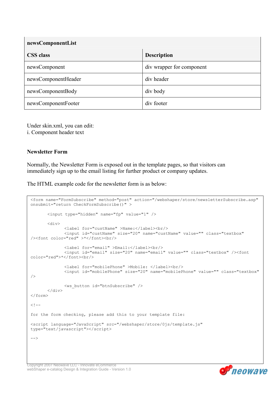| newsComponentList   |                           |
|---------------------|---------------------------|
| <b>CSS</b> class    | <b>Description</b>        |
| newsComponent       | div wrapper for component |
| newsComponentHeader | div header                |
| newsComponentBody   | div body                  |
| newsComponentFooter | div footer                |

Under skin.xml, you can edit: i. Component header text

## Newsletter Form

Normally, the Newsletter Form is exposed out in the template pages, so that visitors can immediately sign up to the email listing for further product or company updates.

The HTML example code for the newsletter form is as below:

```
<form name="FormSubscribe" method="post" action="/webshaper/store/newsletterSubscribe.asp" 
onsubmit="return CheckFormSubscribe()" > 
        <input type="hidden" name="fp" value="1" /> 
        <div> 
               <label for="custName" >Name:</label><br/> 
               <input id="custName" size="20" name="custName" value="" class="textbox" 
/><font color="red" >*</font><br/> 
               <label for="email" >Email:</label><br/> 
               <input id="email" size="20" name="email" value="" class="textbox" /><font 
color="red">*</font><br/>
               <label for="mobilePhone" >Mobile: </label><br/> 
               <input id="mobilePhone" size="20" name="mobilePhone" value="" class="textbox" 
/ <ws_button id="btnSubscribe" /> 
       \langlediv\rangle</form> 
< 1 - -for the form checking, please add this to your template file: 
<script language="JavaScript" src="/webshaper/store/0js/template.js" 
type="text/javascript"></script> 
--
```
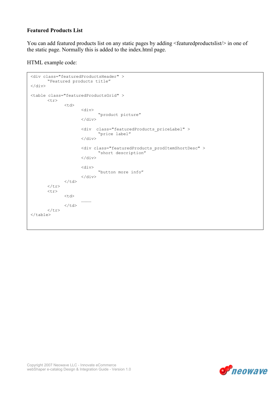# Featured Products List

You can add featured products list on any static pages by adding <featuredproductslist/> in one of the static page. Normally this is added to the index.html page.

HTML example code:

```
<div class="featuredProductsHeader" > 
         "Featured products title" 
</div> 
<table class="featuredProductsGrid" > 
         <tr> 
                <td>
                         <div> 
                                  "product picture" 
                         \langle/div\rangle <div class="featuredProducts_priceLabel" > 
                                  "price label" 
                          </div> 
                          <div class="featuredProducts_prodItemShortDesc" > 
                                  "short description" 
                          </div> 
                          <div> 
                                  "button more info" 
                        \langlediv>
                \langle t \rangle\langle/tr>
        <tr>
                 <td> 
                         ………… 
                \langle t \rangle\langletr>
</table>
```
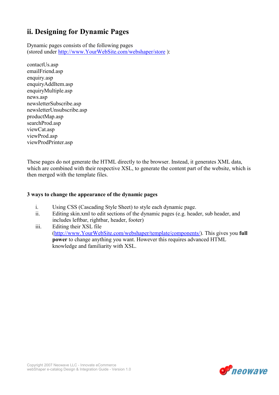# ii. Designing for Dynamic Pages

Dynamic pages consists of the following pages (stored under http://www.YourWebSite.com/webshaper/store ):

contactUs.asp emailFriend.asp enquiry.asp enquiryAddItem.asp enquiryMultiple.asp news.asp newsletterSubscribe.asp newsletterUnsubscribe.asp productMap.asp searchProd.asp viewCat.asp viewProd.asp viewProdPrinter.asp

These pages do not generate the HTML directly to the browser. Instead, it generates XML data, which are combined with their respective XSL, to generate the content part of the website, which is then merged with the template files.

# 3 ways to change the appearance of the dynamic pages

- i. Using CSS (Cascading Style Sheet) to style each dynamic page.
- ii. Editing skin.xml to edit sections of the dynamic pages (e.g. header, sub header, and includes leftbar, rightbar, header, footer)
- iii. Editing their XSL file (http://www.YourWebSite.com/webshaper/template/components/). This gives you full power to change anything you want. However this requires advanced HTML knowledge and familiarity with XSL.

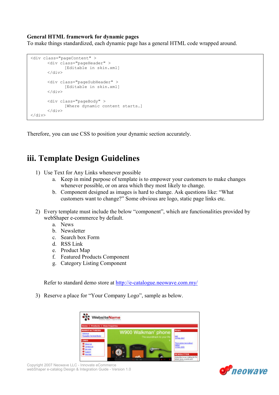# General HTML framework for dynamic pages

To make things standardized, each dynamic page has a general HTML code wrapped around.

```
<div class="pageContent" > 
        <div class="pageHeader" > 
                [Editable in skin.xml] 
         </div> 
        <div class="pageSubHeader" > 
                [Editable in skin.xml] 
        \langle/div\rangle<div class="pageBody" > 
                 [Where dynamic content starts…] 
       \langlediv\rangle</div>
```
Therefore, you can use CSS to position your dynamic section accurately.

# iii. Template Design Guidelines

- 1) Use Text for Any Links whenever possible
	- a. Keep in mind purpose of template is to empower your customers to make changes whenever possible, or on area which they most likely to change.
	- b. Component designed as images is hard to change. Ask questions like: "What customers want to change?" Some obvious are logo, static page links etc.
- 2) Every template must include the below "component", which are functionalities provided by webShaper e-commerce by default.
	- a. News
	- b. Newsletter
	- c. Search box Form
	- d. RSS Link
	- e. Product Map
	- f. Featured Products Component
	- g. Category Listing Component

Refer to standard demo store at http://e-catalogue.neowave.com.my/

3) Reserve a place for "Your Company Logo", sample as below.



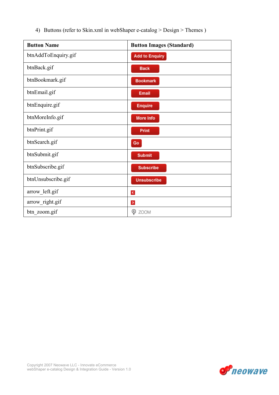4) Buttons (refer to Skin.xml in webShaper e-catalog > Design > Themes )

| <b>Button Name</b>  | <b>Button Images (Standard)</b> |
|---------------------|---------------------------------|
| btnAddToEnquiry.gif | <b>Add to Enquiry</b>           |
| btnBack.gif         | <b>Back</b>                     |
| btnBookmark.gif     | <b>Bookmark</b>                 |
| btnEmail.gif        | <b>Email</b>                    |
| btnEnquire.gif      | <b>Enquire</b>                  |
| btnMoreInfo.gif     | More Info                       |
| btnPrint.gif        | Print                           |
| btnSearch.gif       | Go                              |
| btnSubmit.gif       | <b>Submit</b>                   |
| btnSubscribe.gif    | <b>Subscribe</b>                |
| btnUnsubscribe.gif  | <b>Unsubscribe</b>              |
| arrow_left.gif      | $\triangleleft$                 |
| arrow_right.gif     | $\,$                            |
| btn_zoom.gif        | φ<br><b>ZOOM</b>                |